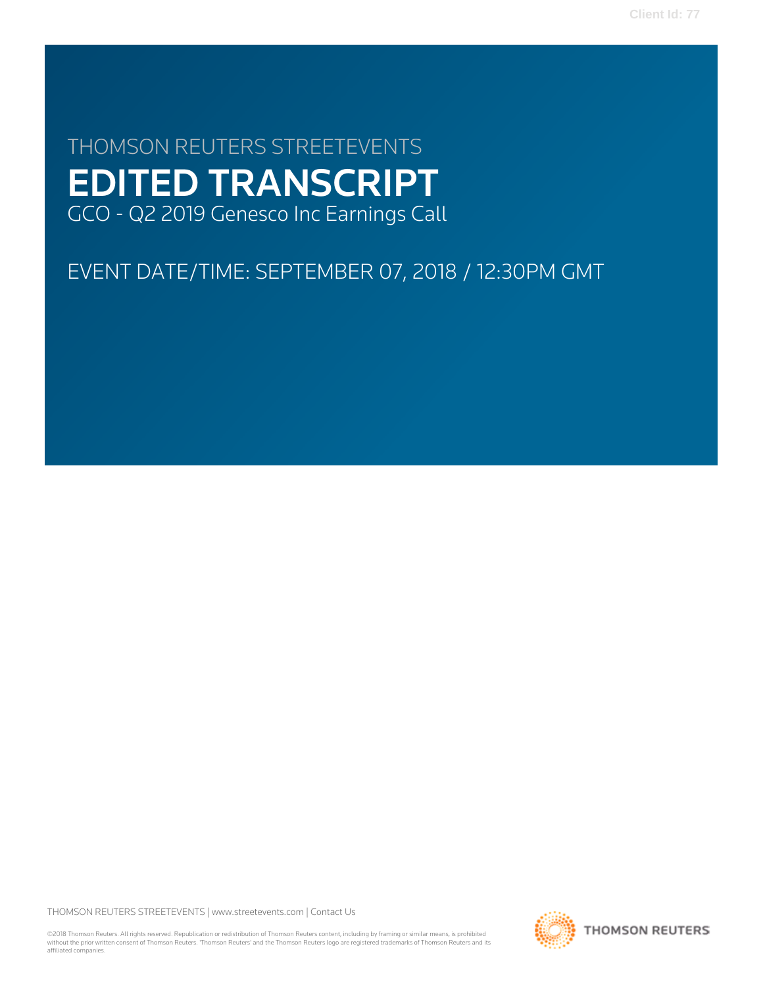# THOMSON REUTERS STREETEVENTS EDITED TRANSCRIPT GCO - Q2 2019 Genesco Inc Earnings Call

## EVENT DATE/TIME: SEPTEMBER 07, 2018 / 12:30PM GMT

THOMSON REUTERS STREETEVENTS | [www.streetevents.com](http://www.streetevents.com) | [Contact Us](http://www010.streetevents.com/contact.asp)

©2018 Thomson Reuters. All rights reserved. Republication or redistribution of Thomson Reuters content, including by framing or similar means, is prohibited without the prior written consent of Thomson Reuters. 'Thomson Reuters' and the Thomson Reuters logo are registered trademarks of Thomson Reuters and its affiliated companies.

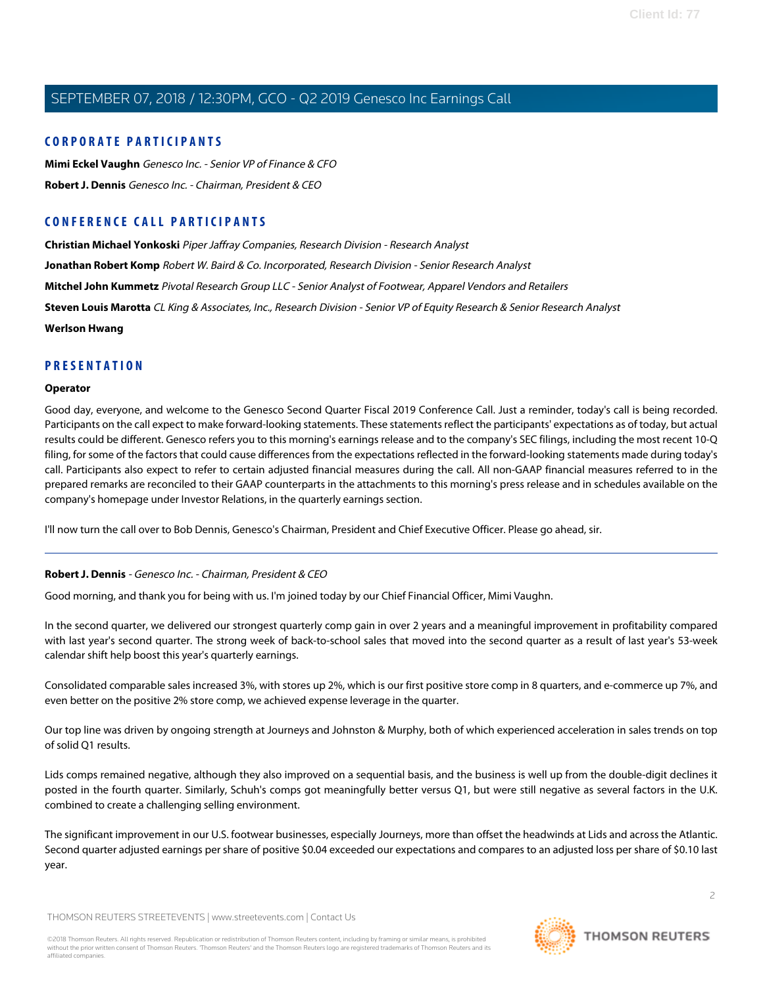#### **CORPORATE PARTICIPANTS**

**[Mimi Eckel Vaughn](#page-4-0)** Genesco Inc. - Senior VP of Finance & CFO **[Robert J. Dennis](#page-1-0)** Genesco Inc. - Chairman, President & CEO

### **CONFERENCE CALL PARTICIPANTS**

**[Christian Michael Yonkoski](#page-10-0)** Piper Jaffray Companies, Research Division - Research Analyst **[Jonathan Robert Komp](#page-8-0)** Robert W. Baird & Co. Incorporated, Research Division - Senior Research Analyst

**[Mitchel John Kummetz](#page-7-0)** Pivotal Research Group LLC - Senior Analyst of Footwear, Apparel Vendors and Retailers

**[Steven Louis Marotta](#page-9-0)** CL King & Associates, Inc., Research Division - Senior VP of Equity Research & Senior Research Analyst

**[Werlson Hwang](#page-9-1)**

#### **PRESENTATION**

#### **Operator**

Good day, everyone, and welcome to the Genesco Second Quarter Fiscal 2019 Conference Call. Just a reminder, today's call is being recorded. Participants on the call expect to make forward-looking statements. These statements reflect the participants' expectations as of today, but actual results could be different. Genesco refers you to this morning's earnings release and to the company's SEC filings, including the most recent 10-Q filing, for some of the factors that could cause differences from the expectations reflected in the forward-looking statements made during today's call. Participants also expect to refer to certain adjusted financial measures during the call. All non-GAAP financial measures referred to in the prepared remarks are reconciled to their GAAP counterparts in the attachments to this morning's press release and in schedules available on the company's homepage under Investor Relations, in the quarterly earnings section.

<span id="page-1-0"></span>I'll now turn the call over to Bob Dennis, Genesco's Chairman, President and Chief Executive Officer. Please go ahead, sir.

#### **Robert J. Dennis** - Genesco Inc. - Chairman, President & CEO

Good morning, and thank you for being with us. I'm joined today by our Chief Financial Officer, Mimi Vaughn.

In the second quarter, we delivered our strongest quarterly comp gain in over 2 years and a meaningful improvement in profitability compared with last year's second quarter. The strong week of back-to-school sales that moved into the second quarter as a result of last year's 53-week calendar shift help boost this year's quarterly earnings.

Consolidated comparable sales increased 3%, with stores up 2%, which is our first positive store comp in 8 quarters, and e-commerce up 7%, and even better on the positive 2% store comp, we achieved expense leverage in the quarter.

Our top line was driven by ongoing strength at Journeys and Johnston & Murphy, both of which experienced acceleration in sales trends on top of solid Q1 results.

Lids comps remained negative, although they also improved on a sequential basis, and the business is well up from the double-digit declines it posted in the fourth quarter. Similarly, Schuh's comps got meaningfully better versus Q1, but were still negative as several factors in the U.K. combined to create a challenging selling environment.

The significant improvement in our U.S. footwear businesses, especially Journeys, more than offset the headwinds at Lids and across the Atlantic. Second quarter adjusted earnings per share of positive \$0.04 exceeded our expectations and compares to an adjusted loss per share of \$0.10 last year.

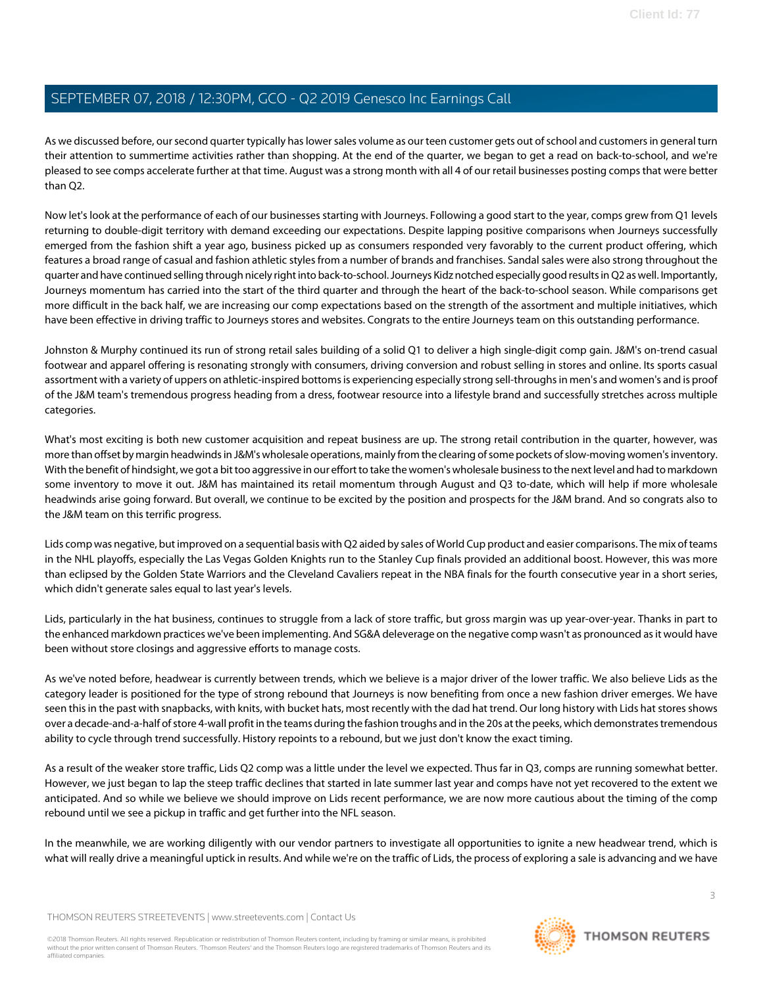As we discussed before, our second quarter typically has lower sales volume as our teen customer gets out of school and customers in general turn their attention to summertime activities rather than shopping. At the end of the quarter, we began to get a read on back-to-school, and we're pleased to see comps accelerate further at that time. August was a strong month with all 4 of our retail businesses posting comps that were better than  $O2$ .

Now let's look at the performance of each of our businesses starting with Journeys. Following a good start to the year, comps grew from Q1 levels returning to double-digit territory with demand exceeding our expectations. Despite lapping positive comparisons when Journeys successfully emerged from the fashion shift a year ago, business picked up as consumers responded very favorably to the current product offering, which features a broad range of casual and fashion athletic styles from a number of brands and franchises. Sandal sales were also strong throughout the quarter and have continued selling through nicely right into back-to-school. Journeys Kidz notched especially good results in Q2 as well. Importantly, Journeys momentum has carried into the start of the third quarter and through the heart of the back-to-school season. While comparisons get more difficult in the back half, we are increasing our comp expectations based on the strength of the assortment and multiple initiatives, which have been effective in driving traffic to Journeys stores and websites. Congrats to the entire Journeys team on this outstanding performance.

Johnston & Murphy continued its run of strong retail sales building of a solid Q1 to deliver a high single-digit comp gain. J&M's on-trend casual footwear and apparel offering is resonating strongly with consumers, driving conversion and robust selling in stores and online. Its sports casual assortment with a variety of uppers on athletic-inspired bottoms is experiencing especially strong sell-throughs in men's and women's and is proof of the J&M team's tremendous progress heading from a dress, footwear resource into a lifestyle brand and successfully stretches across multiple categories.

What's most exciting is both new customer acquisition and repeat business are up. The strong retail contribution in the quarter, however, was more than offset by margin headwinds in J&M's wholesale operations, mainly from the clearing of some pockets of slow-moving women's inventory. With the benefit of hindsight, we got a bit too aggressive in our effort to take the women's wholesale business to the next level and had to markdown some inventory to move it out. J&M has maintained its retail momentum through August and Q3 to-date, which will help if more wholesale headwinds arise going forward. But overall, we continue to be excited by the position and prospects for the J&M brand. And so congrats also to the J&M team on this terrific progress.

Lids comp was negative, but improved on a sequential basis with Q2 aided by sales of World Cup product and easier comparisons. The mix of teams in the NHL playoffs, especially the Las Vegas Golden Knights run to the Stanley Cup finals provided an additional boost. However, this was more than eclipsed by the Golden State Warriors and the Cleveland Cavaliers repeat in the NBA finals for the fourth consecutive year in a short series, which didn't generate sales equal to last year's levels.

Lids, particularly in the hat business, continues to struggle from a lack of store traffic, but gross margin was up year-over-year. Thanks in part to the enhanced markdown practices we've been implementing. And SG&A deleverage on the negative comp wasn't as pronounced as it would have been without store closings and aggressive efforts to manage costs.

As we've noted before, headwear is currently between trends, which we believe is a major driver of the lower traffic. We also believe Lids as the category leader is positioned for the type of strong rebound that Journeys is now benefiting from once a new fashion driver emerges. We have seen this in the past with snapbacks, with knits, with bucket hats, most recently with the dad hat trend. Our long history with Lids hat stores shows over a decade-and-a-half of store 4-wall profit in the teams during the fashion troughs and in the 20s at the peeks, which demonstrates tremendous ability to cycle through trend successfully. History repoints to a rebound, but we just don't know the exact timing.

As a result of the weaker store traffic, Lids Q2 comp was a little under the level we expected. Thus far in Q3, comps are running somewhat better. However, we just began to lap the steep traffic declines that started in late summer last year and comps have not yet recovered to the extent we anticipated. And so while we believe we should improve on Lids recent performance, we are now more cautious about the timing of the comp rebound until we see a pickup in traffic and get further into the NFL season.

In the meanwhile, we are working diligently with our vendor partners to investigate all opportunities to ignite a new headwear trend, which is what will really drive a meaningful uptick in results. And while we're on the traffic of Lids, the process of exploring a sale is advancing and we have

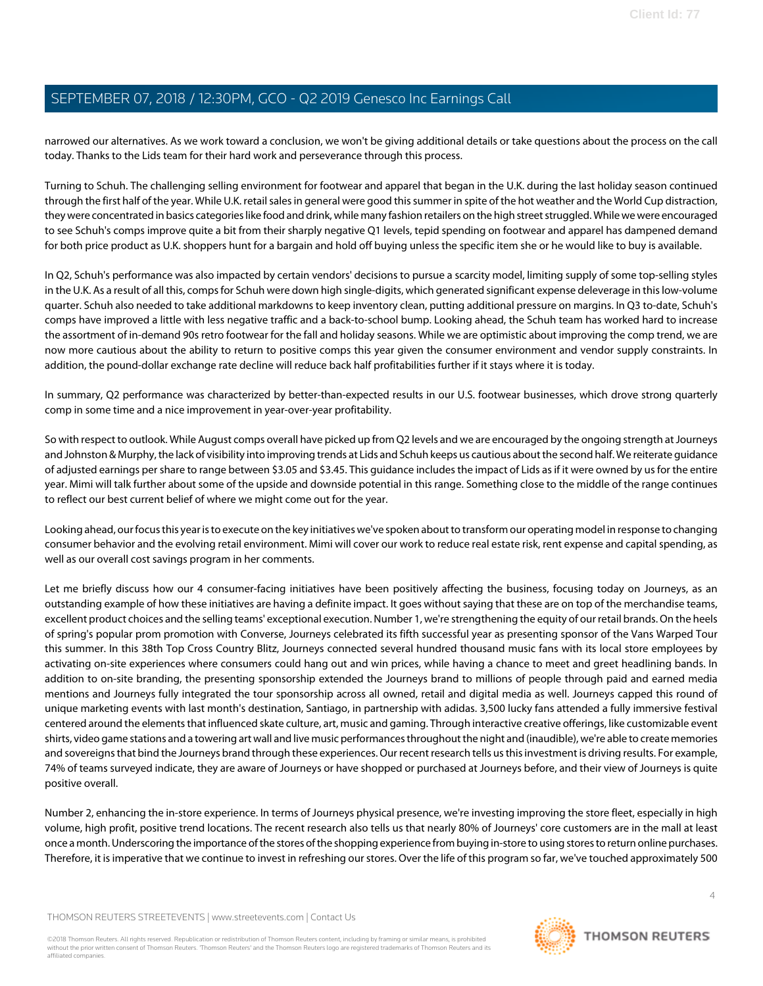narrowed our alternatives. As we work toward a conclusion, we won't be giving additional details or take questions about the process on the call today. Thanks to the Lids team for their hard work and perseverance through this process.

Turning to Schuh. The challenging selling environment for footwear and apparel that began in the U.K. during the last holiday season continued through the first half of the year. While U.K. retail sales in general were good this summer in spite of the hot weather and the World Cup distraction, they were concentrated in basics categories like food and drink, while many fashion retailers on the high street struggled. While we were encouraged to see Schuh's comps improve quite a bit from their sharply negative Q1 levels, tepid spending on footwear and apparel has dampened demand for both price product as U.K. shoppers hunt for a bargain and hold off buying unless the specific item she or he would like to buy is available.

In Q2, Schuh's performance was also impacted by certain vendors' decisions to pursue a scarcity model, limiting supply of some top-selling styles in the U.K. As a result of all this, comps for Schuh were down high single-digits, which generated significant expense deleverage in this low-volume quarter. Schuh also needed to take additional markdowns to keep inventory clean, putting additional pressure on margins. In Q3 to-date, Schuh's comps have improved a little with less negative traffic and a back-to-school bump. Looking ahead, the Schuh team has worked hard to increase the assortment of in-demand 90s retro footwear for the fall and holiday seasons. While we are optimistic about improving the comp trend, we are now more cautious about the ability to return to positive comps this year given the consumer environment and vendor supply constraints. In addition, the pound-dollar exchange rate decline will reduce back half profitabilities further if it stays where it is today.

In summary, Q2 performance was characterized by better-than-expected results in our U.S. footwear businesses, which drove strong quarterly comp in some time and a nice improvement in year-over-year profitability.

So with respect to outlook. While August comps overall have picked up from Q2 levels and we are encouraged by the ongoing strength at Journeys and Johnston & Murphy, the lack of visibility into improving trends at Lids and Schuh keeps us cautious about the second half. We reiterate guidance of adjusted earnings per share to range between \$3.05 and \$3.45. This guidance includes the impact of Lids as if it were owned by us for the entire year. Mimi will talk further about some of the upside and downside potential in this range. Something close to the middle of the range continues to reflect our best current belief of where we might come out for the year.

Looking ahead, our focus this year is to execute on the key initiatives we've spoken about to transform our operating model in response to changing consumer behavior and the evolving retail environment. Mimi will cover our work to reduce real estate risk, rent expense and capital spending, as well as our overall cost savings program in her comments.

Let me briefly discuss how our 4 consumer-facing initiatives have been positively affecting the business, focusing today on Journeys, as an outstanding example of how these initiatives are having a definite impact. It goes without saying that these are on top of the merchandise teams, excellent product choices and the selling teams' exceptional execution. Number 1, we're strengthening the equity of our retail brands. On the heels of spring's popular prom promotion with Converse, Journeys celebrated its fifth successful year as presenting sponsor of the Vans Warped Tour this summer. In this 38th Top Cross Country Blitz, Journeys connected several hundred thousand music fans with its local store employees by activating on-site experiences where consumers could hang out and win prices, while having a chance to meet and greet headlining bands. In addition to on-site branding, the presenting sponsorship extended the Journeys brand to millions of people through paid and earned media mentions and Journeys fully integrated the tour sponsorship across all owned, retail and digital media as well. Journeys capped this round of unique marketing events with last month's destination, Santiago, in partnership with adidas. 3,500 lucky fans attended a fully immersive festival centered around the elements that influenced skate culture, art, music and gaming. Through interactive creative offerings, like customizable event shirts, video game stations and a towering art wall and live music performances throughout the night and (inaudible), we're able to create memories and sovereigns that bind the Journeys brand through these experiences. Our recent research tells us this investment is driving results. For example, 74% of teams surveyed indicate, they are aware of Journeys or have shopped or purchased at Journeys before, and their view of Journeys is quite positive overall.

Number 2, enhancing the in-store experience. In terms of Journeys physical presence, we're investing improving the store fleet, especially in high volume, high profit, positive trend locations. The recent research also tells us that nearly 80% of Journeys' core customers are in the mall at least once a month. Underscoring the importance of the stores of the shopping experience from buying in-store to using stores to return online purchases. Therefore, it is imperative that we continue to invest in refreshing our stores. Over the life of this program so far, we've touched approximately 500

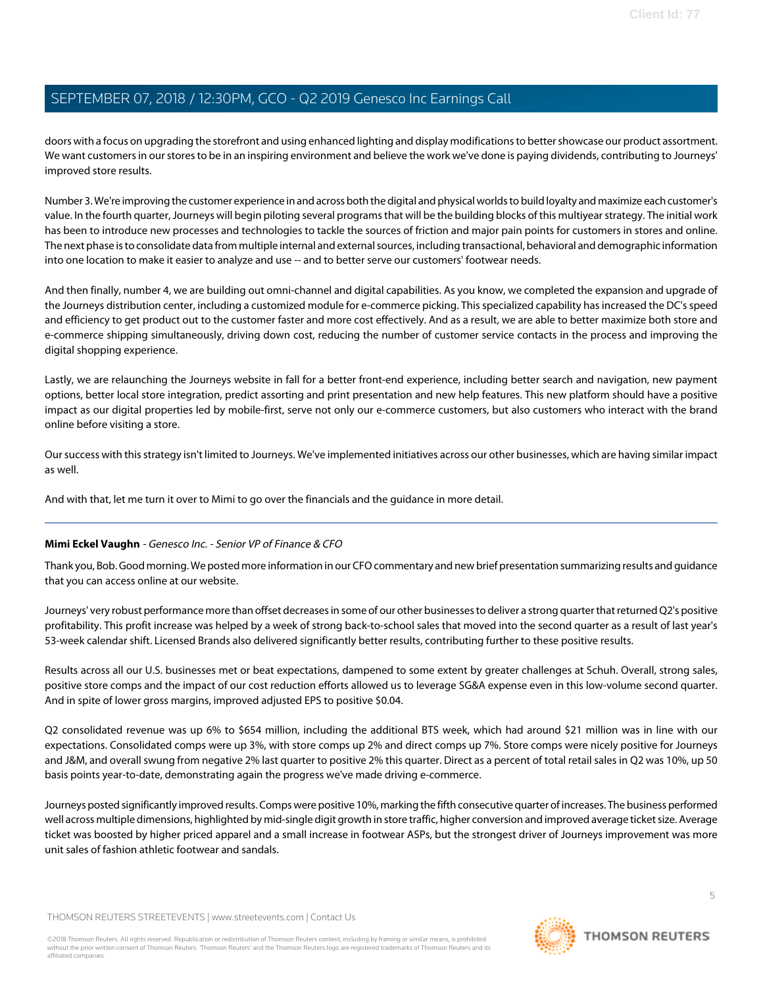doors with a focus on upgrading the storefront and using enhanced lighting and display modifications to better showcase our product assortment. We want customers in our stores to be in an inspiring environment and believe the work we've done is paying dividends, contributing to Journeys' improved store results.

Number 3. We're improving the customer experience in and across both the digital and physical worlds to build loyalty and maximize each customer's value. In the fourth quarter, Journeys will begin piloting several programs that will be the building blocks of this multiyear strategy. The initial work has been to introduce new processes and technologies to tackle the sources of friction and major pain points for customers in stores and online. The next phase is to consolidate data from multiple internal and external sources, including transactional, behavioral and demographic information into one location to make it easier to analyze and use -- and to better serve our customers' footwear needs.

And then finally, number 4, we are building out omni-channel and digital capabilities. As you know, we completed the expansion and upgrade of the Journeys distribution center, including a customized module for e-commerce picking. This specialized capability has increased the DC's speed and efficiency to get product out to the customer faster and more cost effectively. And as a result, we are able to better maximize both store and e-commerce shipping simultaneously, driving down cost, reducing the number of customer service contacts in the process and improving the digital shopping experience.

Lastly, we are relaunching the Journeys website in fall for a better front-end experience, including better search and navigation, new payment options, better local store integration, predict assorting and print presentation and new help features. This new platform should have a positive impact as our digital properties led by mobile-first, serve not only our e-commerce customers, but also customers who interact with the brand online before visiting a store.

Our success with this strategy isn't limited to Journeys. We've implemented initiatives across our other businesses, which are having similar impact as well.

<span id="page-4-0"></span>And with that, let me turn it over to Mimi to go over the financials and the guidance in more detail.

#### **Mimi Eckel Vaughn** - Genesco Inc. - Senior VP of Finance & CFO

Thank you, Bob. Good morning. We posted more information in our CFO commentary and new brief presentation summarizing results and guidance that you can access online at our website.

Journeys' very robust performance more than offset decreases in some of our other businesses to deliver a strong quarter that returned Q2's positive profitability. This profit increase was helped by a week of strong back-to-school sales that moved into the second quarter as a result of last year's 53-week calendar shift. Licensed Brands also delivered significantly better results, contributing further to these positive results.

Results across all our U.S. businesses met or beat expectations, dampened to some extent by greater challenges at Schuh. Overall, strong sales, positive store comps and the impact of our cost reduction efforts allowed us to leverage SG&A expense even in this low-volume second quarter. And in spite of lower gross margins, improved adjusted EPS to positive \$0.04.

Q2 consolidated revenue was up 6% to \$654 million, including the additional BTS week, which had around \$21 million was in line with our expectations. Consolidated comps were up 3%, with store comps up 2% and direct comps up 7%. Store comps were nicely positive for Journeys and J&M, and overall swung from negative 2% last quarter to positive 2% this quarter. Direct as a percent of total retail sales in Q2 was 10%, up 50 basis points year-to-date, demonstrating again the progress we've made driving e-commerce.

Journeys posted significantly improved results. Comps were positive 10%, marking the fifth consecutive quarter of increases. The business performed well across multiple dimensions, highlighted by mid-single digit growth in store traffic, higher conversion and improved average ticket size. Average ticket was boosted by higher priced apparel and a small increase in footwear ASPs, but the strongest driver of Journeys improvement was more unit sales of fashion athletic footwear and sandals.

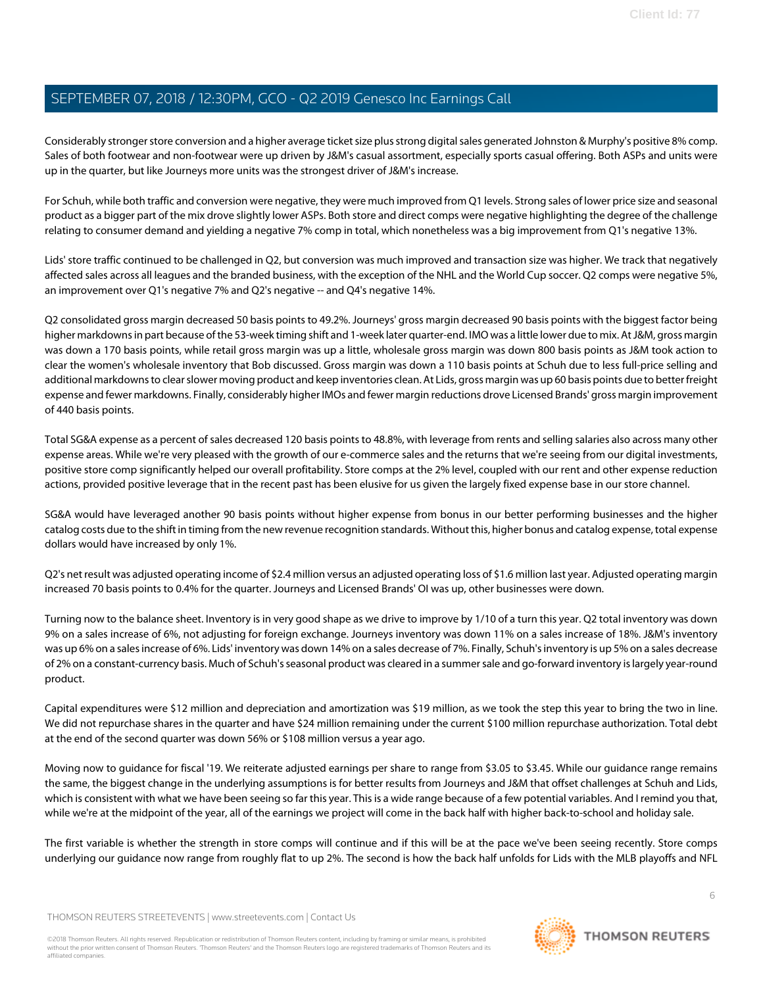Considerably stronger store conversion and a higher average ticket size plus strong digital sales generated Johnston & Murphy's positive 8% comp. Sales of both footwear and non-footwear were up driven by J&M's casual assortment, especially sports casual offering. Both ASPs and units were up in the quarter, but like Journeys more units was the strongest driver of J&M's increase.

For Schuh, while both traffic and conversion were negative, they were much improved from Q1 levels. Strong sales of lower price size and seasonal product as a bigger part of the mix drove slightly lower ASPs. Both store and direct comps were negative highlighting the degree of the challenge relating to consumer demand and yielding a negative 7% comp in total, which nonetheless was a big improvement from Q1's negative 13%.

Lids' store traffic continued to be challenged in Q2, but conversion was much improved and transaction size was higher. We track that negatively affected sales across all leagues and the branded business, with the exception of the NHL and the World Cup soccer. Q2 comps were negative 5%, an improvement over Q1's negative 7% and Q2's negative -- and Q4's negative 14%.

Q2 consolidated gross margin decreased 50 basis points to 49.2%. Journeys' gross margin decreased 90 basis points with the biggest factor being higher markdowns in part because of the 53-week timing shift and 1-week later quarter-end. IMO was a little lower due to mix. At J&M, gross margin was down a 170 basis points, while retail gross margin was up a little, wholesale gross margin was down 800 basis points as J&M took action to clear the women's wholesale inventory that Bob discussed. Gross margin was down a 110 basis points at Schuh due to less full-price selling and additional markdowns to clear slower moving product and keep inventories clean. At Lids, gross margin was up 60 basis points due to better freight expense and fewer markdowns. Finally, considerably higher IMOs and fewer margin reductions drove Licensed Brands' gross margin improvement of 440 basis points.

Total SG&A expense as a percent of sales decreased 120 basis points to 48.8%, with leverage from rents and selling salaries also across many other expense areas. While we're very pleased with the growth of our e-commerce sales and the returns that we're seeing from our digital investments, positive store comp significantly helped our overall profitability. Store comps at the 2% level, coupled with our rent and other expense reduction actions, provided positive leverage that in the recent past has been elusive for us given the largely fixed expense base in our store channel.

SG&A would have leveraged another 90 basis points without higher expense from bonus in our better performing businesses and the higher catalog costs due to the shift in timing from the new revenue recognition standards. Without this, higher bonus and catalog expense, total expense dollars would have increased by only 1%.

Q2's net result was adjusted operating income of \$2.4 million versus an adjusted operating loss of \$1.6 million last year. Adjusted operating margin increased 70 basis points to 0.4% for the quarter. Journeys and Licensed Brands' OI was up, other businesses were down.

Turning now to the balance sheet. Inventory is in very good shape as we drive to improve by 1/10 of a turn this year. Q2 total inventory was down 9% on a sales increase of 6%, not adjusting for foreign exchange. Journeys inventory was down 11% on a sales increase of 18%. J&M's inventory was up 6% on a sales increase of 6%. Lids' inventory was down 14% on a sales decrease of 7%. Finally, Schuh's inventory is up 5% on a sales decrease of 2% on a constant-currency basis. Much of Schuh's seasonal product was cleared in a summer sale and go-forward inventory is largely year-round product.

Capital expenditures were \$12 million and depreciation and amortization was \$19 million, as we took the step this year to bring the two in line. We did not repurchase shares in the quarter and have \$24 million remaining under the current \$100 million repurchase authorization. Total debt at the end of the second quarter was down 56% or \$108 million versus a year ago.

Moving now to guidance for fiscal '19. We reiterate adjusted earnings per share to range from \$3.05 to \$3.45. While our guidance range remains the same, the biggest change in the underlying assumptions is for better results from Journeys and J&M that offset challenges at Schuh and Lids, which is consistent with what we have been seeing so far this year. This is a wide range because of a few potential variables. And I remind you that, while we're at the midpoint of the year, all of the earnings we project will come in the back half with higher back-to-school and holiday sale.

The first variable is whether the strength in store comps will continue and if this will be at the pace we've been seeing recently. Store comps underlying our guidance now range from roughly flat to up 2%. The second is how the back half unfolds for Lids with the MLB playoffs and NFL

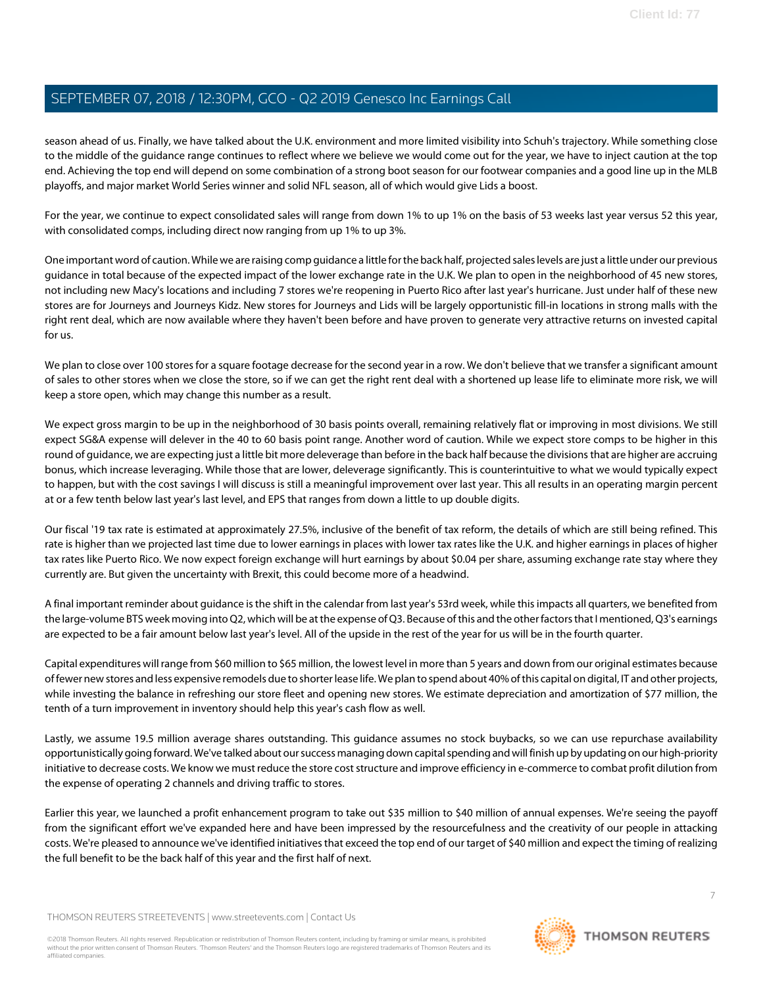season ahead of us. Finally, we have talked about the U.K. environment and more limited visibility into Schuh's trajectory. While something close to the middle of the guidance range continues to reflect where we believe we would come out for the year, we have to inject caution at the top end. Achieving the top end will depend on some combination of a strong boot season for our footwear companies and a good line up in the MLB playoffs, and major market World Series winner and solid NFL season, all of which would give Lids a boost.

For the year, we continue to expect consolidated sales will range from down 1% to up 1% on the basis of 53 weeks last year versus 52 this year, with consolidated comps, including direct now ranging from up 1% to up 3%.

One important word of caution. While we are raising comp guidance a little for the back half, projected sales levels are just a little under our previous guidance in total because of the expected impact of the lower exchange rate in the U.K. We plan to open in the neighborhood of 45 new stores, not including new Macy's locations and including 7 stores we're reopening in Puerto Rico after last year's hurricane. Just under half of these new stores are for Journeys and Journeys Kidz. New stores for Journeys and Lids will be largely opportunistic fill-in locations in strong malls with the right rent deal, which are now available where they haven't been before and have proven to generate very attractive returns on invested capital for us.

We plan to close over 100 stores for a square footage decrease for the second year in a row. We don't believe that we transfer a significant amount of sales to other stores when we close the store, so if we can get the right rent deal with a shortened up lease life to eliminate more risk, we will keep a store open, which may change this number as a result.

We expect gross margin to be up in the neighborhood of 30 basis points overall, remaining relatively flat or improving in most divisions. We still expect SG&A expense will delever in the 40 to 60 basis point range. Another word of caution. While we expect store comps to be higher in this round of guidance, we are expecting just a little bit more deleverage than before in the back half because the divisions that are higher are accruing bonus, which increase leveraging. While those that are lower, deleverage significantly. This is counterintuitive to what we would typically expect to happen, but with the cost savings I will discuss is still a meaningful improvement over last year. This all results in an operating margin percent at or a few tenth below last year's last level, and EPS that ranges from down a little to up double digits.

Our fiscal '19 tax rate is estimated at approximately 27.5%, inclusive of the benefit of tax reform, the details of which are still being refined. This rate is higher than we projected last time due to lower earnings in places with lower tax rates like the U.K. and higher earnings in places of higher tax rates like Puerto Rico. We now expect foreign exchange will hurt earnings by about \$0.04 per share, assuming exchange rate stay where they currently are. But given the uncertainty with Brexit, this could become more of a headwind.

A final important reminder about guidance is the shift in the calendar from last year's 53rd week, while this impacts all quarters, we benefited from the large-volume BTS week moving into Q2, which will be at the expense of Q3. Because of this and the other factors that I mentioned, Q3's earnings are expected to be a fair amount below last year's level. All of the upside in the rest of the year for us will be in the fourth quarter.

Capital expenditures will range from \$60 million to \$65 million, the lowest level in more than 5 years and down from our original estimates because of fewer new stores and less expensive remodels due to shorter lease life. We plan to spend about 40% of this capital on digital, IT and other projects, while investing the balance in refreshing our store fleet and opening new stores. We estimate depreciation and amortization of \$77 million, the tenth of a turn improvement in inventory should help this year's cash flow as well.

Lastly, we assume 19.5 million average shares outstanding. This guidance assumes no stock buybacks, so we can use repurchase availability opportunistically going forward. We've talked about our success managing down capital spending and will finish up by updating on our high-priority initiative to decrease costs. We know we must reduce the store cost structure and improve efficiency in e-commerce to combat profit dilution from the expense of operating 2 channels and driving traffic to stores.

Earlier this year, we launched a profit enhancement program to take out \$35 million to \$40 million of annual expenses. We're seeing the payoff from the significant effort we've expanded here and have been impressed by the resourcefulness and the creativity of our people in attacking costs. We're pleased to announce we've identified initiatives that exceed the top end of our target of \$40 million and expect the timing of realizing the full benefit to be the back half of this year and the first half of next.

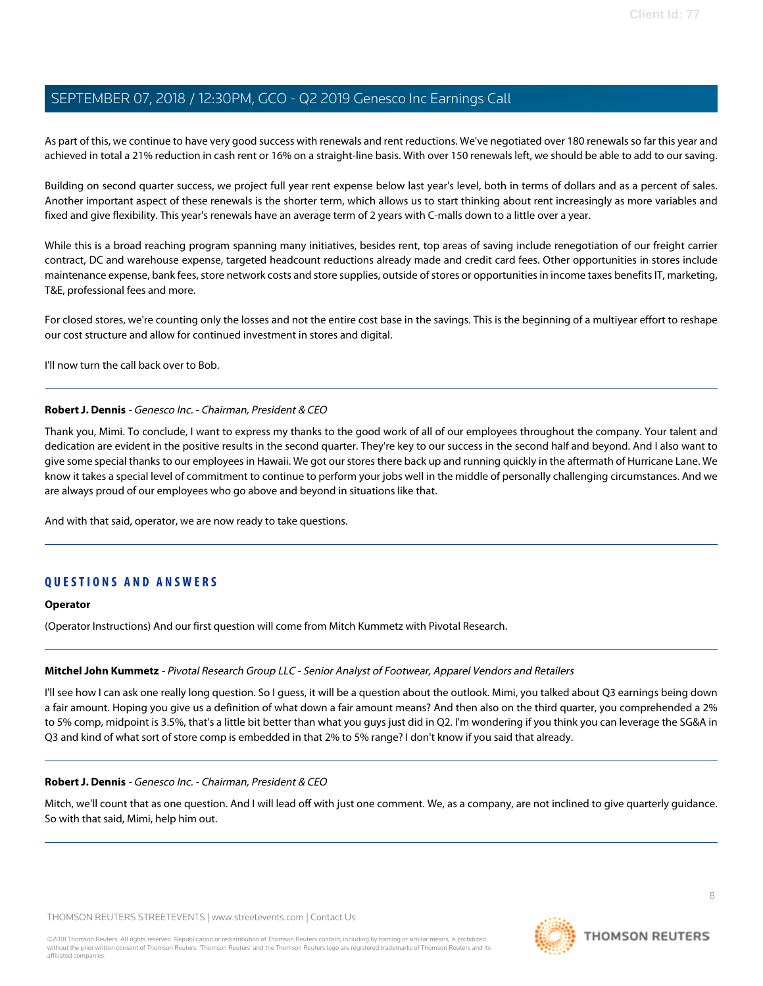As part of this, we continue to have very good success with renewals and rent reductions. We've negotiated over 180 renewals so far this year and achieved in total a 21% reduction in cash rent or 16% on a straight-line basis. With over 150 renewals left, we should be able to add to our saving.

Building on second quarter success, we project full year rent expense below last year's level, both in terms of dollars and as a percent of sales. Another important aspect of these renewals is the shorter term, which allows us to start thinking about rent increasingly as more variables and fixed and give flexibility. This year's renewals have an average term of 2 years with C-malls down to a little over a year.

While this is a broad reaching program spanning many initiatives, besides rent, top areas of saving include renegotiation of our freight carrier contract, DC and warehouse expense, targeted headcount reductions already made and credit card fees. Other opportunities in stores include maintenance expense, bank fees, store network costs and store supplies, outside of stores or opportunities in income taxes benefits IT, marketing, T&E, professional fees and more.

For closed stores, we're counting only the losses and not the entire cost base in the savings. This is the beginning of a multiyear effort to reshape our cost structure and allow for continued investment in stores and digital.

I'll now turn the call back over to Bob.

#### **Robert J. Dennis** - Genesco Inc. - Chairman, President & CEO

Thank you, Mimi. To conclude, I want to express my thanks to the good work of all of our employees throughout the company. Your talent and dedication are evident in the positive results in the second quarter. They're key to our success in the second half and beyond. And I also want to give some special thanks to our employees in Hawaii. We got our stores there back up and running quickly in the aftermath of Hurricane Lane. We know it takes a special level of commitment to continue to perform your jobs well in the middle of personally challenging circumstances. And we are always proud of our employees who go above and beyond in situations like that.

And with that said, operator, we are now ready to take questions.

## **QUESTIONS AND ANSWERS**

#### <span id="page-7-0"></span>**Operator**

(Operator Instructions) And our first question will come from Mitch Kummetz with Pivotal Research.

#### **Mitchel John Kummetz** - Pivotal Research Group LLC - Senior Analyst of Footwear, Apparel Vendors and Retailers

I'll see how I can ask one really long question. So I guess, it will be a question about the outlook. Mimi, you talked about Q3 earnings being down a fair amount. Hoping you give us a definition of what down a fair amount means? And then also on the third quarter, you comprehended a 2% to 5% comp, midpoint is 3.5%, that's a little bit better than what you guys just did in Q2. I'm wondering if you think you can leverage the SG&A in Q3 and kind of what sort of store comp is embedded in that 2% to 5% range? I don't know if you said that already.

#### **Robert J. Dennis** - Genesco Inc. - Chairman, President & CEO

Mitch, we'll count that as one question. And I will lead off with just one comment. We, as a company, are not inclined to give quarterly guidance. So with that said, Mimi, help him out.

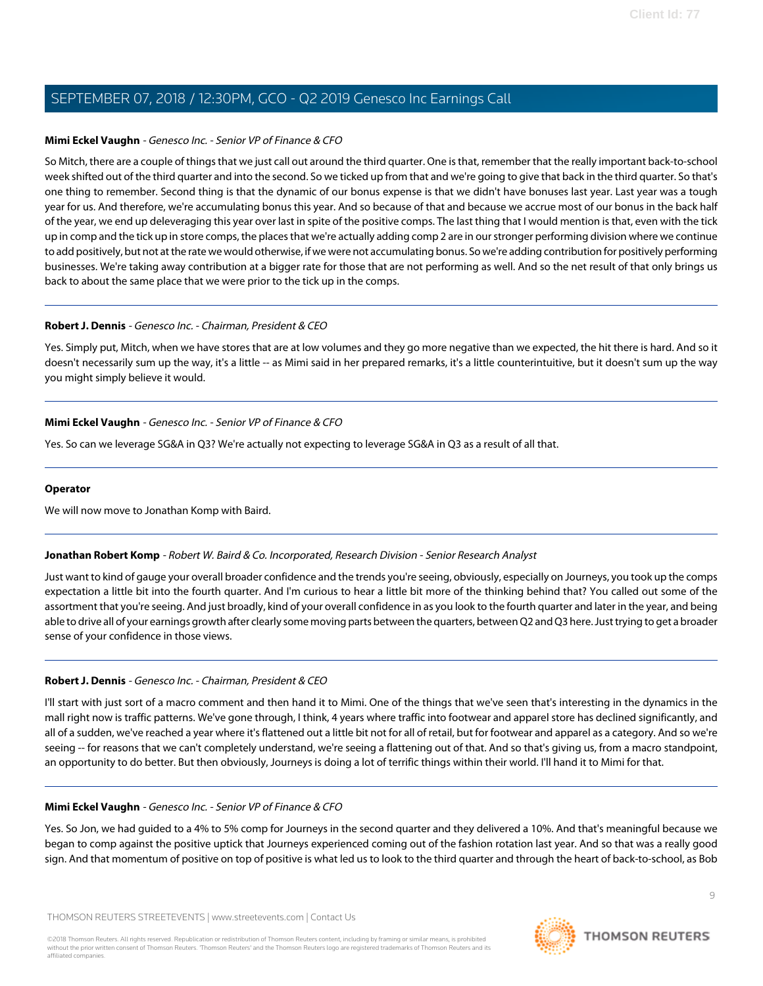#### **Mimi Eckel Vaughn** - Genesco Inc. - Senior VP of Finance & CFO

So Mitch, there are a couple of things that we just call out around the third quarter. One is that, remember that the really important back-to-school week shifted out of the third quarter and into the second. So we ticked up from that and we're going to give that back in the third quarter. So that's one thing to remember. Second thing is that the dynamic of our bonus expense is that we didn't have bonuses last year. Last year was a tough year for us. And therefore, we're accumulating bonus this year. And so because of that and because we accrue most of our bonus in the back half of the year, we end up deleveraging this year over last in spite of the positive comps. The last thing that I would mention is that, even with the tick up in comp and the tick up in store comps, the places that we're actually adding comp 2 are in our stronger performing division where we continue to add positively, but not at the rate we would otherwise, if we were not accumulating bonus. So we're adding contribution for positively performing businesses. We're taking away contribution at a bigger rate for those that are not performing as well. And so the net result of that only brings us back to about the same place that we were prior to the tick up in the comps.

#### **Robert J. Dennis** - Genesco Inc. - Chairman, President & CEO

Yes. Simply put, Mitch, when we have stores that are at low volumes and they go more negative than we expected, the hit there is hard. And so it doesn't necessarily sum up the way, it's a little -- as Mimi said in her prepared remarks, it's a little counterintuitive, but it doesn't sum up the way you might simply believe it would.

#### **Mimi Eckel Vaughn** - Genesco Inc. - Senior VP of Finance & CFO

Yes. So can we leverage SG&A in Q3? We're actually not expecting to leverage SG&A in Q3 as a result of all that.

#### <span id="page-8-0"></span>**Operator**

We will now move to Jonathan Komp with Baird.

#### **Jonathan Robert Komp** - Robert W. Baird & Co. Incorporated, Research Division - Senior Research Analyst

Just want to kind of gauge your overall broader confidence and the trends you're seeing, obviously, especially on Journeys, you took up the comps expectation a little bit into the fourth quarter. And I'm curious to hear a little bit more of the thinking behind that? You called out some of the assortment that you're seeing. And just broadly, kind of your overall confidence in as you look to the fourth quarter and later in the year, and being able to drive all of your earnings growth after clearly some moving parts between the quarters, between Q2 and Q3 here. Just trying to get a broader sense of your confidence in those views.

#### **Robert J. Dennis** - Genesco Inc. - Chairman, President & CEO

I'll start with just sort of a macro comment and then hand it to Mimi. One of the things that we've seen that's interesting in the dynamics in the mall right now is traffic patterns. We've gone through, I think, 4 years where traffic into footwear and apparel store has declined significantly, and all of a sudden, we've reached a year where it's flattened out a little bit not for all of retail, but for footwear and apparel as a category. And so we're seeing -- for reasons that we can't completely understand, we're seeing a flattening out of that. And so that's giving us, from a macro standpoint, an opportunity to do better. But then obviously, Journeys is doing a lot of terrific things within their world. I'll hand it to Mimi for that.

#### **Mimi Eckel Vaughn** - Genesco Inc. - Senior VP of Finance & CFO

Yes. So Jon, we had guided to a 4% to 5% comp for Journeys in the second quarter and they delivered a 10%. And that's meaningful because we began to comp against the positive uptick that Journeys experienced coming out of the fashion rotation last year. And so that was a really good sign. And that momentum of positive on top of positive is what led us to look to the third quarter and through the heart of back-to-school, as Bob

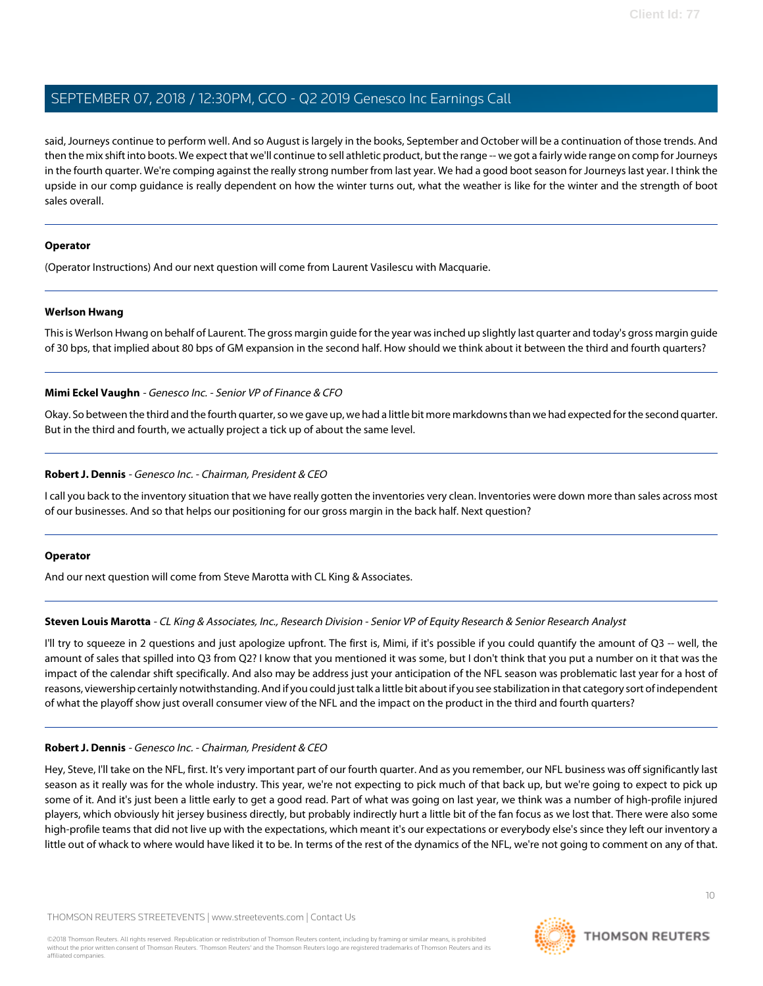said, Journeys continue to perform well. And so August is largely in the books, September and October will be a continuation of those trends. And then the mix shift into boots. We expect that we'll continue to sell athletic product, but the range -- we got a fairly wide range on comp for Journeys in the fourth quarter. We're comping against the really strong number from last year. We had a good boot season for Journeys last year. I think the upside in our comp guidance is really dependent on how the winter turns out, what the weather is like for the winter and the strength of boot sales overall.

#### **Operator**

<span id="page-9-1"></span>(Operator Instructions) And our next question will come from Laurent Vasilescu with Macquarie.

#### **Werlson Hwang**

This is Werlson Hwang on behalf of Laurent. The gross margin guide for the year was inched up slightly last quarter and today's gross margin guide of 30 bps, that implied about 80 bps of GM expansion in the second half. How should we think about it between the third and fourth quarters?

#### **Mimi Eckel Vaughn** - Genesco Inc. - Senior VP of Finance & CFO

Okay. So between the third and the fourth quarter, so we gave up, we had a little bit more markdowns than we had expected for the second quarter. But in the third and fourth, we actually project a tick up of about the same level.

#### **Robert J. Dennis** - Genesco Inc. - Chairman, President & CEO

I call you back to the inventory situation that we have really gotten the inventories very clean. Inventories were down more than sales across most of our businesses. And so that helps our positioning for our gross margin in the back half. Next question?

#### <span id="page-9-0"></span>**Operator**

And our next question will come from Steve Marotta with CL King & Associates.

#### **Steven Louis Marotta** - CL King & Associates, Inc., Research Division - Senior VP of Equity Research & Senior Research Analyst

I'll try to squeeze in 2 questions and just apologize upfront. The first is, Mimi, if it's possible if you could quantify the amount of Q3 -- well, the amount of sales that spilled into Q3 from Q2? I know that you mentioned it was some, but I don't think that you put a number on it that was the impact of the calendar shift specifically. And also may be address just your anticipation of the NFL season was problematic last year for a host of reasons, viewership certainly notwithstanding. And if you could just talk a little bit about if you see stabilization in that category sort of independent of what the playoff show just overall consumer view of the NFL and the impact on the product in the third and fourth quarters?

#### **Robert J. Dennis** - Genesco Inc. - Chairman, President & CEO

Hey, Steve, I'll take on the NFL, first. It's very important part of our fourth quarter. And as you remember, our NFL business was off significantly last season as it really was for the whole industry. This year, we're not expecting to pick much of that back up, but we're going to expect to pick up some of it. And it's just been a little early to get a good read. Part of what was going on last year, we think was a number of high-profile injured players, which obviously hit jersey business directly, but probably indirectly hurt a little bit of the fan focus as we lost that. There were also some high-profile teams that did not live up with the expectations, which meant it's our expectations or everybody else's since they left our inventory a little out of whack to where would have liked it to be. In terms of the rest of the dynamics of the NFL, we're not going to comment on any of that.

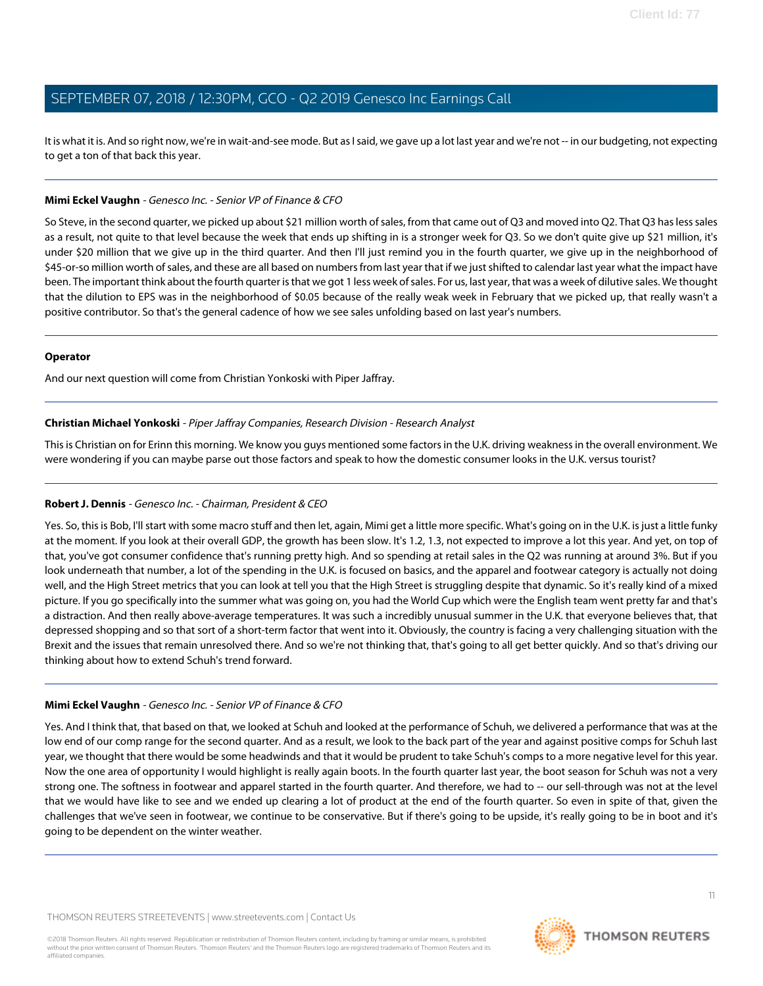It is what it is. And so right now, we're in wait-and-see mode. But as I said, we gave up a lot last year and we're not -- in our budgeting, not expecting to get a ton of that back this year.

#### **Mimi Eckel Vaughn** - Genesco Inc. - Senior VP of Finance & CFO

So Steve, in the second quarter, we picked up about \$21 million worth of sales, from that came out of Q3 and moved into Q2. That Q3 has less sales as a result, not quite to that level because the week that ends up shifting in is a stronger week for Q3. So we don't quite give up \$21 million, it's under \$20 million that we give up in the third quarter. And then I'll just remind you in the fourth quarter, we give up in the neighborhood of \$45-or-so million worth of sales, and these are all based on numbers from last year that if we just shifted to calendar last year what the impact have been. The important think about the fourth quarter is that we got 1 less week of sales. For us, last year, that was a week of dilutive sales. We thought that the dilution to EPS was in the neighborhood of \$0.05 because of the really weak week in February that we picked up, that really wasn't a positive contributor. So that's the general cadence of how we see sales unfolding based on last year's numbers.

#### **Operator**

<span id="page-10-0"></span>And our next question will come from Christian Yonkoski with Piper Jaffray.

#### **Christian Michael Yonkoski** - Piper Jaffray Companies, Research Division - Research Analyst

This is Christian on for Erinn this morning. We know you guys mentioned some factors in the U.K. driving weakness in the overall environment. We were wondering if you can maybe parse out those factors and speak to how the domestic consumer looks in the U.K. versus tourist?

#### **Robert J. Dennis** - Genesco Inc. - Chairman, President & CEO

Yes. So, this is Bob, I'll start with some macro stuff and then let, again, Mimi get a little more specific. What's going on in the U.K. is just a little funky at the moment. If you look at their overall GDP, the growth has been slow. It's 1.2, 1.3, not expected to improve a lot this year. And yet, on top of that, you've got consumer confidence that's running pretty high. And so spending at retail sales in the Q2 was running at around 3%. But if you look underneath that number, a lot of the spending in the U.K. is focused on basics, and the apparel and footwear category is actually not doing well, and the High Street metrics that you can look at tell you that the High Street is struggling despite that dynamic. So it's really kind of a mixed picture. If you go specifically into the summer what was going on, you had the World Cup which were the English team went pretty far and that's a distraction. And then really above-average temperatures. It was such a incredibly unusual summer in the U.K. that everyone believes that, that depressed shopping and so that sort of a short-term factor that went into it. Obviously, the country is facing a very challenging situation with the Brexit and the issues that remain unresolved there. And so we're not thinking that, that's going to all get better quickly. And so that's driving our thinking about how to extend Schuh's trend forward.

#### **Mimi Eckel Vaughn** - Genesco Inc. - Senior VP of Finance & CFO

Yes. And I think that, that based on that, we looked at Schuh and looked at the performance of Schuh, we delivered a performance that was at the low end of our comp range for the second quarter. And as a result, we look to the back part of the year and against positive comps for Schuh last year, we thought that there would be some headwinds and that it would be prudent to take Schuh's comps to a more negative level for this year. Now the one area of opportunity I would highlight is really again boots. In the fourth quarter last year, the boot season for Schuh was not a very strong one. The softness in footwear and apparel started in the fourth quarter. And therefore, we had to -- our sell-through was not at the level that we would have like to see and we ended up clearing a lot of product at the end of the fourth quarter. So even in spite of that, given the challenges that we've seen in footwear, we continue to be conservative. But if there's going to be upside, it's really going to be in boot and it's going to be dependent on the winter weather.